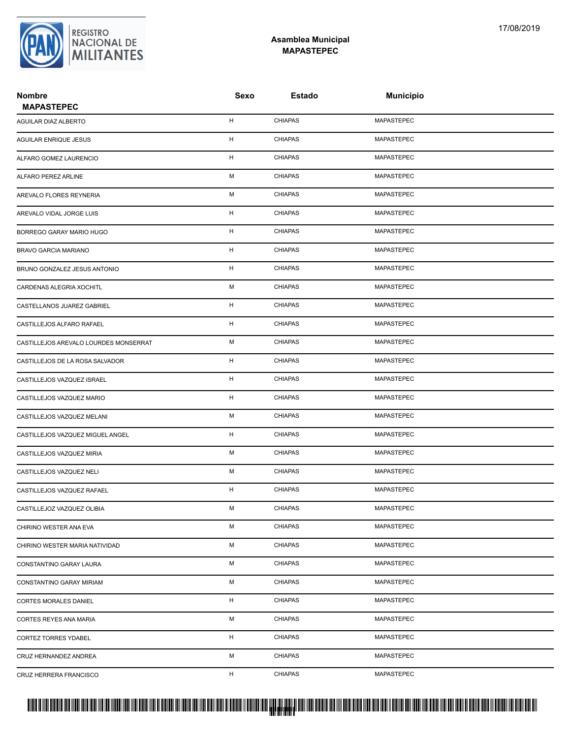## **Asamblea Municipal MAPASTEPEC**

| <b>Nombre</b><br><b>MAPASTEPEC</b>    | Sexo        | Estado         | <b>Municipio</b>  |  |
|---------------------------------------|-------------|----------------|-------------------|--|
| AGUILAR DIAZ ALBERTO                  | H           | <b>CHIAPAS</b> | <b>MAPASTEPEC</b> |  |
| AGUILAR ENRIQUE JESUS                 | н           | <b>CHIAPAS</b> | MAPASTEPEC        |  |
| ALFARO GOMEZ LAURENCIO                | H           | <b>CHIAPAS</b> | MAPASTEPEC        |  |
| ALFARO PEREZ ARLINE                   | М           | <b>CHIAPAS</b> | MAPASTEPEC        |  |
| AREVALO FLORES REYNERIA               | М           | <b>CHIAPAS</b> | MAPASTEPEC        |  |
| AREVALO VIDAL JORGE LUIS              | н           | <b>CHIAPAS</b> | MAPASTEPEC        |  |
| BORREGO GARAY MARIO HUGO              | н           | <b>CHIAPAS</b> | MAPASTEPEC        |  |
| BRAVO GARCIA MARIANO                  | $\mathsf H$ | <b>CHIAPAS</b> | MAPASTEPEC        |  |
| BRUNO GONZALEZ JESUS ANTONIO          | Н           | <b>CHIAPAS</b> | MAPASTEPEC        |  |
| CARDENAS ALEGRIA XOCHITL              | М           | <b>CHIAPAS</b> | MAPASTEPEC        |  |
| CASTELLANOS JUAREZ GABRIEL            | н           | <b>CHIAPAS</b> | MAPASTEPEC        |  |
| CASTILLEJOS ALFARO RAFAEL             | Н           | <b>CHIAPAS</b> | MAPASTEPEC        |  |
| CASTILLEJOS AREVALO LOURDES MONSERRAT | М           | <b>CHIAPAS</b> | MAPASTEPEC        |  |
| CASTILLEJOS DE LA ROSA SALVADOR       | н           | <b>CHIAPAS</b> | MAPASTEPEC        |  |
| CASTILLEJOS VAZQUEZ ISRAEL            | н           | <b>CHIAPAS</b> | MAPASTEPEC        |  |
| CASTILLEJOS VAZQUEZ MARIO             | н           | <b>CHIAPAS</b> | MAPASTEPEC        |  |
| CASTILLEJOS VAZQUEZ MELANI            | М           | <b>CHIAPAS</b> | MAPASTEPEC        |  |
| CASTILLEJOS VAZQUEZ MIGUEL ANGEL      | н           | <b>CHIAPAS</b> | MAPASTEPEC        |  |
| CASTILLEJOS VAZQUEZ MIRIA             | М           | <b>CHIAPAS</b> | MAPASTEPEC        |  |
| CASTILLEJOS VAZQUEZ NELI              | М           | <b>CHIAPAS</b> | MAPASTEPEC        |  |
| CASTILLEJOS VAZQUEZ RAFAEL            | н           | <b>CHIAPAS</b> | MAPASTEPEC        |  |
| CASTILLEJOZ VAZQUEZ OLIBIA            | М           | <b>CHIAPAS</b> | MAPASTEPEC        |  |
| CHIRINO WESTER ANA EVA                | М           | <b>CHIAPAS</b> | MAPASTEPEC        |  |
| CHIRINO WESTER MARIA NATIVIDAD        | М           | <b>CHIAPAS</b> | MAPASTEPEC        |  |
| CONSTANTINO GARAY LAURA               | М           | <b>CHIAPAS</b> | MAPASTEPEC        |  |
| CONSTANTINO GARAY MIRIAM              | М           | <b>CHIAPAS</b> | MAPASTEPEC        |  |
| <b>CORTES MORALES DANIEL</b>          | H           | CHIAPAS        | MAPASTEPEC        |  |
| CORTES REYES ANA MARIA                | М           | <b>CHIAPAS</b> | MAPASTEPEC        |  |
| <b>CORTEZ TORRES YDABEL</b>           | H           | <b>CHIAPAS</b> | MAPASTEPEC        |  |
| CRUZ HERNANDEZ ANDREA                 | М           | <b>CHIAPAS</b> | MAPASTEPEC        |  |
| CRUZ HERRERA FRANCISCO                | H           | CHIAPAS        | MAPASTEPEC        |  |



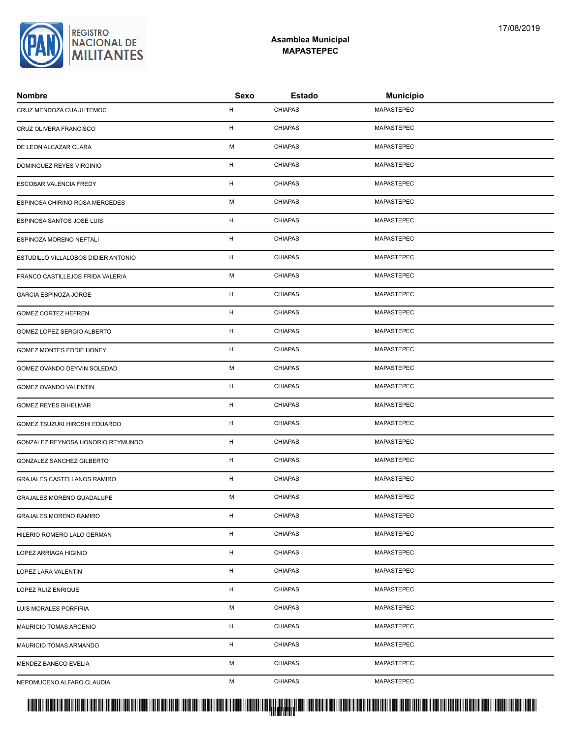## PROTUCCION SU REGION DA SU REGIONAL DE LA SULTA SU REGIONAL DE MILITANTES CONTRADO NACIONAL DE MILITANTES CONTRADO N <mark>. Pangyakan k</mark>

| Nombre                              | Sexo | <b>Estado</b>  | <b>Municipio</b>                           |
|-------------------------------------|------|----------------|--------------------------------------------|
| CRUZ MENDOZA CUAUHTEMOC             | н    | <b>CHIAPAS</b> | MAPASTEPEC                                 |
| CRUZ OLIVERA FRANCISCO              | н    | <b>CHIAPAS</b> | MAPASTEPEC                                 |
| DE LEON ALCAZAR CLARA               | М    | <b>CHIAPAS</b> | MAPASTEPEC                                 |
| DOMINGUEZ REYES VIRGINIO            | н    | <b>CHIAPAS</b> | MAPASTEPEC                                 |
| ESCOBAR VALENCIA FREDY              | н    | <b>CHIAPAS</b> | MAPASTEPEC                                 |
| ESPINOSA CHIRINO ROSA MERCEDES      | M    | <b>CHIAPAS</b> | MAPASTEPEC                                 |
| ESPINOSA SANTOS JOSE LUIS           | н    | <b>CHIAPAS</b> | MAPASTEPEC                                 |
| ESPINOZA MORENO NEFTALI             | н    | <b>CHIAPAS</b> | MAPASTEPEC                                 |
| ESTUDILLO VILLALOBOS DIDIER ANTONIO | н    | <b>CHIAPAS</b> | MAPASTEPEC                                 |
| FRANCO CASTILLEJOS FRIDA VALERIA    | М    | <b>CHIAPAS</b> | MAPASTEPEC                                 |
| GARCIA ESPINOZA JORGE               | н    | <b>CHIAPAS</b> | MAPASTEPEC                                 |
| <b>GOMEZ CORTEZ HEFREN</b>          | н    | <b>CHIAPAS</b> | <b>MAPASTEPEC</b>                          |
| GOMEZ LOPEZ SERGIO ALBERTO          | н    | <b>CHIAPAS</b> | MAPASTEPEC                                 |
| GOMEZ MONTES EDDIE HONEY            | н    | <b>CHIAPAS</b> | MAPASTEPEC                                 |
| GOMEZ OVANDO DEYVIN SOLEDAD         | М    | <b>CHIAPAS</b> | MAPASTEPEC                                 |
| GOMEZ OVANDO VALENTIN               | н    | <b>CHIAPAS</b> | MAPASTEPEC                                 |
| GOMEZ REYES BIHELMAR                | н    | <b>CHIAPAS</b> | MAPASTEPEC                                 |
| GOMEZ TSUZUKI HIROSHI EDUARDO       | н    | <b>CHIAPAS</b> | MAPASTEPEC                                 |
| GONZALEZ REYNOSA HONORIO REYMUNDO   | н    | <b>CHIAPAS</b> | MAPASTEPEC                                 |
| GONZALEZ SANCHEZ GILBERTO           | н    | <b>CHIAPAS</b> | MAPASTEPEC                                 |
| GRAJALES CASTELLANOS RAMIRO         | н    | <b>CHIAPAS</b> | MAPASTEPEC                                 |
| GRAJALES MORENO GUADALUPE           | М    | <b>CHIAPAS</b> | MAPASTEPEC                                 |
| <b>GRAJALES MORENO RAMIRO</b>       | н    | <b>CHIAPAS</b> | MAPASTEPEC                                 |
| HILERIO ROMERO LALO GERMAN          | н    | <b>CHIAPAS</b> | MAPASTEPEC                                 |
| LOPEZ ARRIAGA HIGINIO               | н    | <b>CHIAPAS</b> | MAPASTEPEC                                 |
| LOPEZ LARA VALENTIN                 | н    | <b>CHIAPAS</b> | MAPASTEPEC                                 |
| LOPEZ RUIZ ENRIQUE                  | н    | <b>CHIAPAS</b> | MAPASTEPEC                                 |
| LUIS MORALES PORFIRIA               | M    | <b>CHIAPAS</b> | MAPASTEPEC                                 |
| MAURICIO TOMAS ARCENIO              | н    | <b>CHIAPAS</b> | MAPASTEPEC                                 |
| MAURICIO TOMAS ARMANDO              | н    | <b>CHIAPAS</b> | MAPASTEPEC                                 |
| MENDEZ BANECO EVELIA                | М    | <b>CHIAPAS</b> | MAPASTEPEC                                 |
| NEPOMUCENO ALFARO CLAUDIA           | М    | <b>CHIAPAS</b> | MAPASTEPEC                                 |
|                                     |      |                | 111 <b>BIBIBIDI IIBI BIIBII BIBI BI</b> II |



## **Asamblea Municipal MAPASTEPEC**